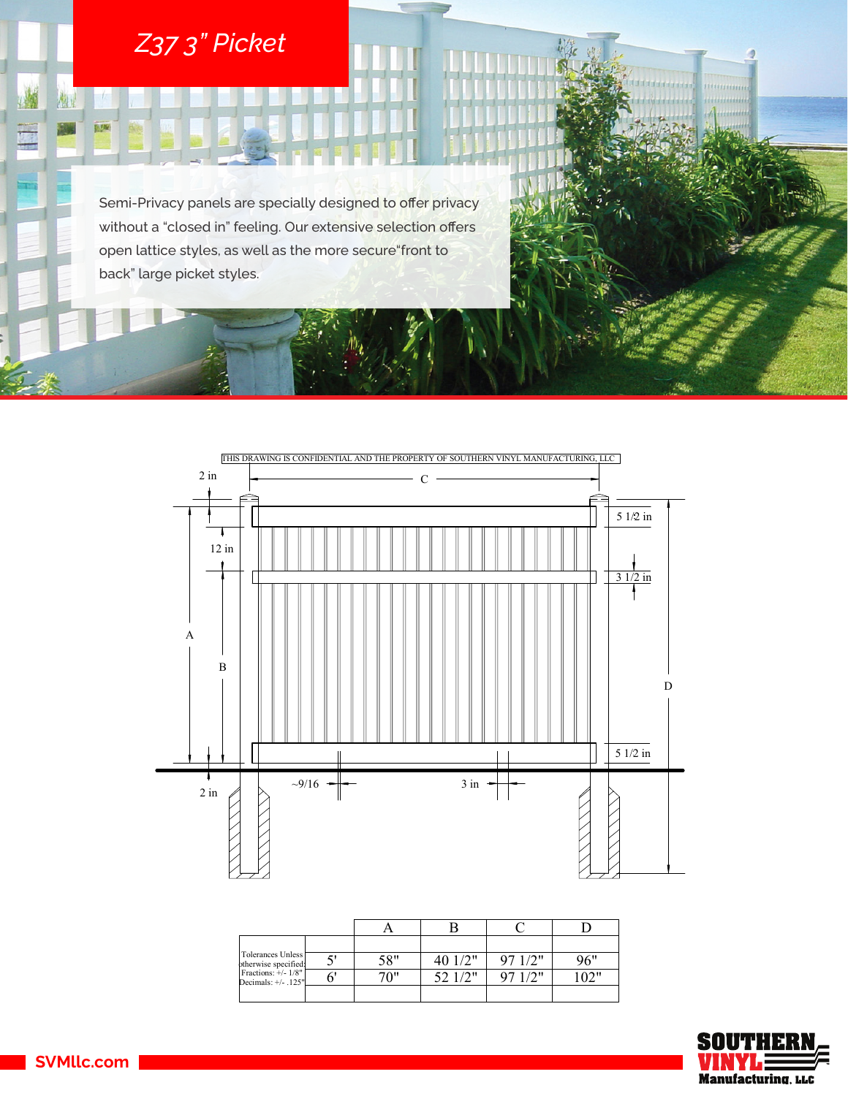## *Z37 3" Picket*

勘

E

**PAPE** 

Semi-Privacy panels are specially designed to offer privacy without a "closed in" feeling. Our extensive selection offers open lattice styles, as well as the more secure"front to back" large picket styles.



| Tolerances Unless<br>otherwise specified:  |     |         |        |      |
|--------------------------------------------|-----|---------|--------|------|
|                                            | 58" | 40 1/2" | 971/2" | 96"  |
| Fractions: +/- 1/8"<br>Decimals: +/- .125" | 70" | 521/2"  | 971/2" | 102" |
|                                            |     |         |        |      |



mmmmm

SVMllc.com